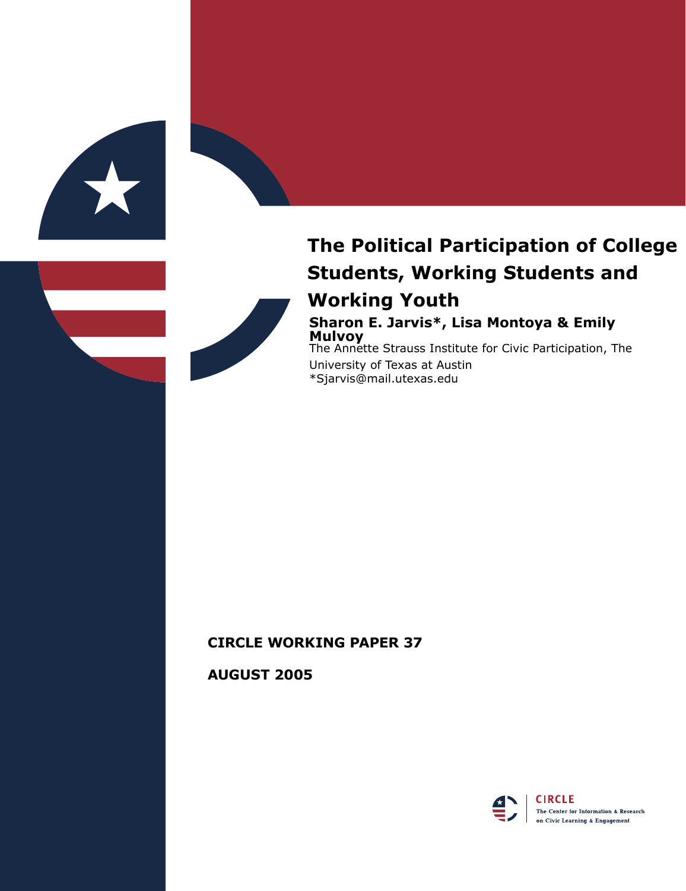

# **The Political Participation of College Students, Working Students and Working Youth**

### **Sharon E. Jarvis\*, Lisa Montoya & Emily Mulvoy**

The Annette Strauss Institute for Civic Participation, The University of Texas at Austin \*Sjarvis@mail.utexas.edu

# **CIRCLE WORKING PAPER 37**

**AUGUST 2005**

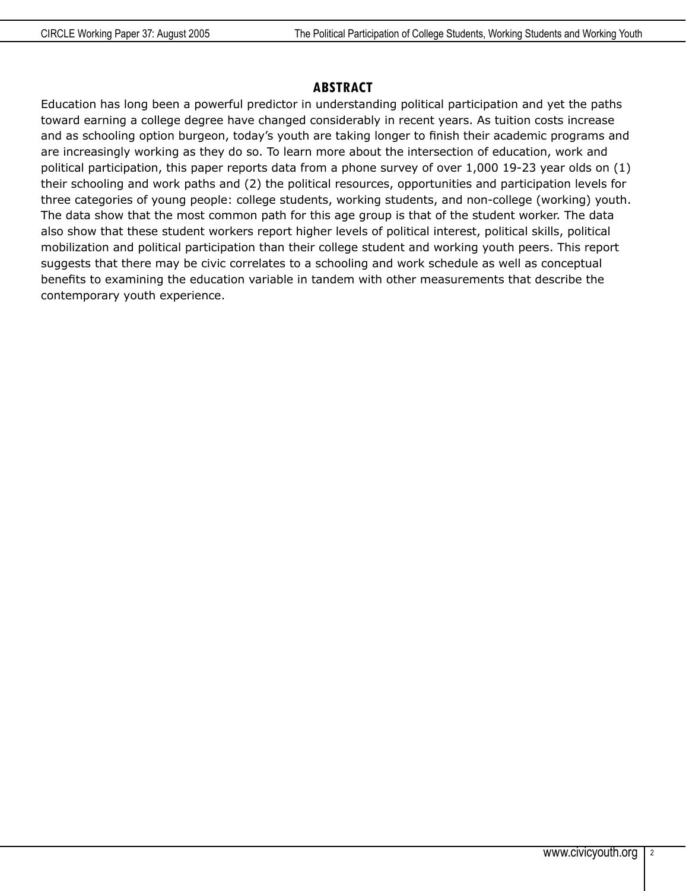#### **ABSTRACT**

Education has long been a powerful predictor in understanding political participation and yet the paths toward earning a college degree have changed considerably in recent years. As tuition costs increase and as schooling option burgeon, today's youth are taking longer to finish their academic programs and are increasingly working as they do so. To learn more about the intersection of education, work and political participation, this paper reports data from a phone survey of over 1,000 19-23 year olds on (1) their schooling and work paths and (2) the political resources, opportunities and participation levels for three categories of young people: college students, working students, and non-college (working) youth. The data show that the most common path for this age group is that of the student worker. The data also show that these student workers report higher levels of political interest, political skills, political mobilization and political participation than their college student and working youth peers. This report suggests that there may be civic correlates to a schooling and work schedule as well as conceptual benefits to examining the education variable in tandem with other measurements that describe the contemporary youth experience.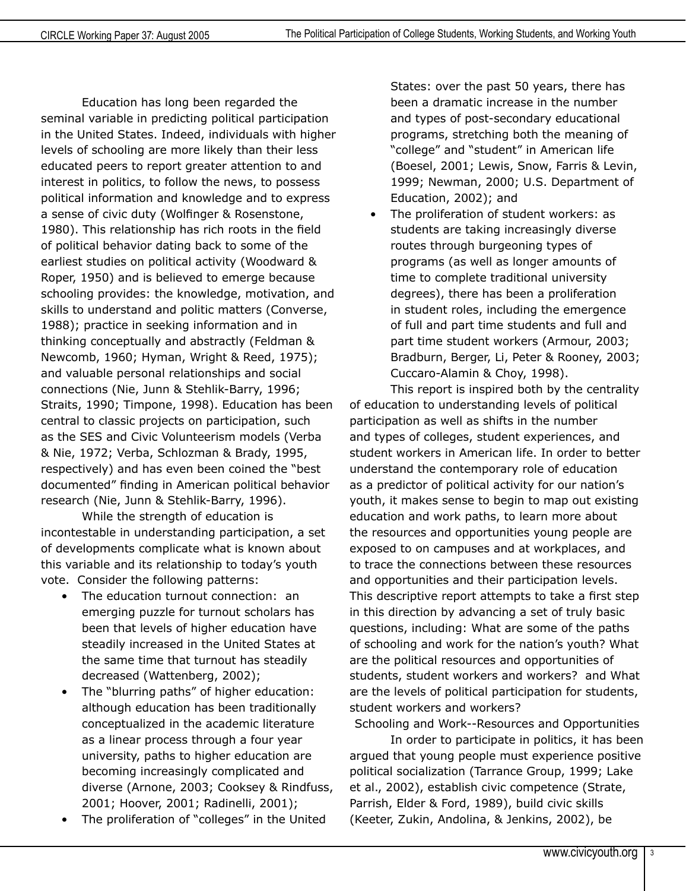Education has long been regarded the seminal variable in predicting political participation in the United States. Indeed, individuals with higher levels of schooling are more likely than their less educated peers to report greater attention to and interest in politics, to follow the news, to possess political information and knowledge and to express a sense of civic duty (Wolfinger & Rosenstone, 1980). This relationship has rich roots in the field of political behavior dating back to some of the earliest studies on political activity (Woodward & Roper, 1950) and is believed to emerge because schooling provides: the knowledge, motivation, and skills to understand and politic matters (Converse, 1988); practice in seeking information and in thinking conceptually and abstractly (Feldman & Newcomb, 1960; Hyman, Wright & Reed, 1975); and valuable personal relationships and social connections (Nie, Junn & Stehlik-Barry, 1996; Straits, 1990; Timpone, 1998). Education has been central to classic projects on participation, such as the SES and Civic Volunteerism models (Verba & Nie, 1972; Verba, Schlozman & Brady, 1995, respectively) and has even been coined the "best documented" finding in American political behavior research (Nie, Junn & Stehlik-Barry, 1996).

While the strength of education is incontestable in understanding participation, a set of developments complicate what is known about this variable and its relationship to today's youth vote. Consider the following patterns:

- The education turnout connection: an emerging puzzle for turnout scholars has been that levels of higher education have steadily increased in the United States at the same time that turnout has steadily decreased (Wattenberg, 2002);
- The "blurring paths" of higher education: although education has been traditionally conceptualized in the academic literature as a linear process through a four year university, paths to higher education are becoming increasingly complicated and diverse (Arnone, 2003; Cooksey & Rindfuss, 2001; Hoover, 2001; Radinelli, 2001);
- The proliferation of "colleges" in the United

States: over the past 50 years, there has been a dramatic increase in the number and types of post-secondary educational programs, stretching both the meaning of "college" and "student" in American life (Boesel, 2001; Lewis, Snow, Farris & Levin, 1999; Newman, 2000; U.S. Department of Education, 2002); and

The proliferation of student workers: as students are taking increasingly diverse routes through burgeoning types of programs (as well as longer amounts of time to complete traditional university degrees), there has been a proliferation in student roles, including the emergence of full and part time students and full and part time student workers (Armour, 2003; Bradburn, Berger, Li, Peter & Rooney, 2003; Cuccaro-Alamin & Choy, 1998).

This report is inspired both by the centrality of education to understanding levels of political participation as well as shifts in the number and types of colleges, student experiences, and student workers in American life. In order to better understand the contemporary role of education as a predictor of political activity for our nation's youth, it makes sense to begin to map out existing education and work paths, to learn more about the resources and opportunities young people are exposed to on campuses and at workplaces, and to trace the connections between these resources and opportunities and their participation levels. This descriptive report attempts to take a first step in this direction by advancing a set of truly basic questions, including: What are some of the paths of schooling and work for the nation's youth? What are the political resources and opportunities of students, student workers and workers? and What are the levels of political participation for students, student workers and workers?

Schooling and Work--Resources and Opportunities In order to participate in politics, it has been argued that young people must experience positive political socialization (Tarrance Group, 1999; Lake et al., 2002), establish civic competence (Strate, Parrish, Elder & Ford, 1989), build civic skills (Keeter, Zukin, Andolina, & Jenkins, 2002), be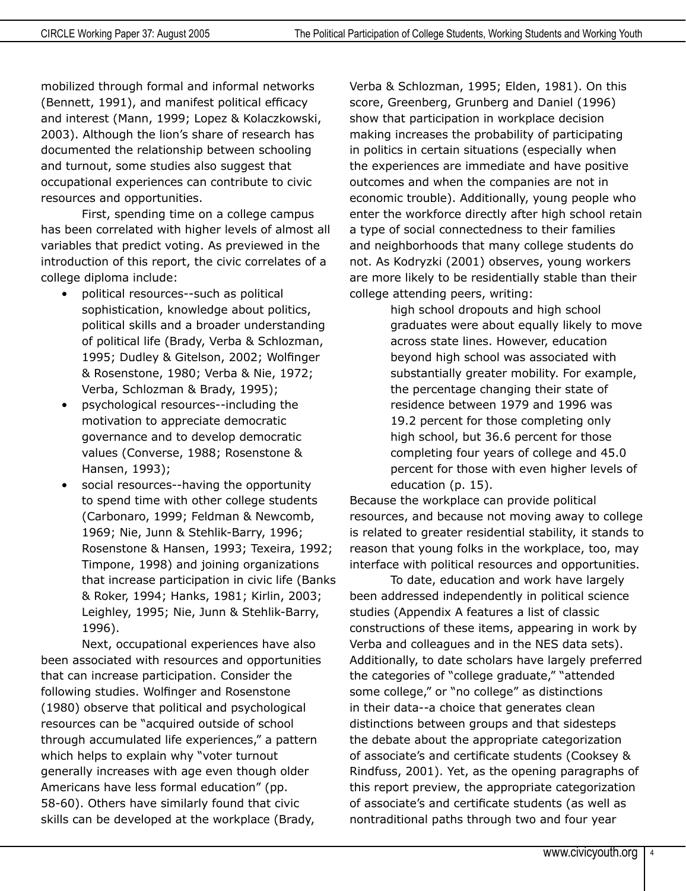mobilized through formal and informal networks (Bennett, 1991), and manifest political efficacy and interest (Mann, 1999; Lopez & Kolaczkowski, 2003). Although the lion's share of research has documented the relationship between schooling and turnout, some studies also suggest that occupational experiences can contribute to civic resources and opportunities.

First, spending time on a college campus has been correlated with higher levels of almost all variables that predict voting. As previewed in the introduction of this report, the civic correlates of a college diploma include:

- political resources--such as political sophistication, knowledge about politics, political skills and a broader understanding of political life (Brady, Verba & Schlozman, 1995; Dudley & Gitelson, 2002; Wolfinger & Rosenstone, 1980; Verba & Nie, 1972; Verba, Schlozman & Brady, 1995);
- psychological resources--including the motivation to appreciate democratic governance and to develop democratic values (Converse, 1988; Rosenstone & Hansen, 1993);
- social resources--having the opportunity to spend time with other college students (Carbonaro, 1999; Feldman & Newcomb, 1969; Nie, Junn & Stehlik-Barry, 1996; Rosenstone & Hansen, 1993; Texeira, 1992; Timpone, 1998) and joining organizations that increase participation in civic life (Banks & Roker, 1994; Hanks, 1981; Kirlin, 2003; Leighley, 1995; Nie, Junn & Stehlik-Barry, 1996).

Next, occupational experiences have also been associated with resources and opportunities that can increase participation. Consider the following studies. Wolfinger and Rosenstone (1980) observe that political and psychological resources can be "acquired outside of school through accumulated life experiences," a pattern which helps to explain why "voter turnout generally increases with age even though older Americans have less formal education" (pp. 58-60). Others have similarly found that civic skills can be developed at the workplace (Brady,

Verba & Schlozman, 1995; Elden, 1981). On this score, Greenberg, Grunberg and Daniel (1996) show that participation in workplace decision making increases the probability of participating in politics in certain situations (especially when the experiences are immediate and have positive outcomes and when the companies are not in economic trouble). Additionally, young people who enter the workforce directly after high school retain a type of social connectedness to their families and neighborhoods that many college students do not. As Kodryzki (2001) observes, young workers are more likely to be residentially stable than their college attending peers, writing:

high school dropouts and high school graduates were about equally likely to move across state lines. However, education beyond high school was associated with substantially greater mobility. For example, the percentage changing their state of residence between 1979 and 1996 was 19.2 percent for those completing only high school, but 36.6 percent for those completing four years of college and 45.0 percent for those with even higher levels of education (p. 15).

Because the workplace can provide political resources, and because not moving away to college is related to greater residential stability, it stands to reason that young folks in the workplace, too, may interface with political resources and opportunities.

To date, education and work have largely been addressed independently in political science studies (Appendix A features a list of classic constructions of these items, appearing in work by Verba and colleagues and in the NES data sets). Additionally, to date scholars have largely preferred the categories of "college graduate," "attended some college," or "no college" as distinctions in their data--a choice that generates clean distinctions between groups and that sidesteps the debate about the appropriate categorization of associate's and certificate students (Cooksey & Rindfuss, 2001). Yet, as the opening paragraphs of this report preview, the appropriate categorization of associate's and certificate students (as well as nontraditional paths through two and four year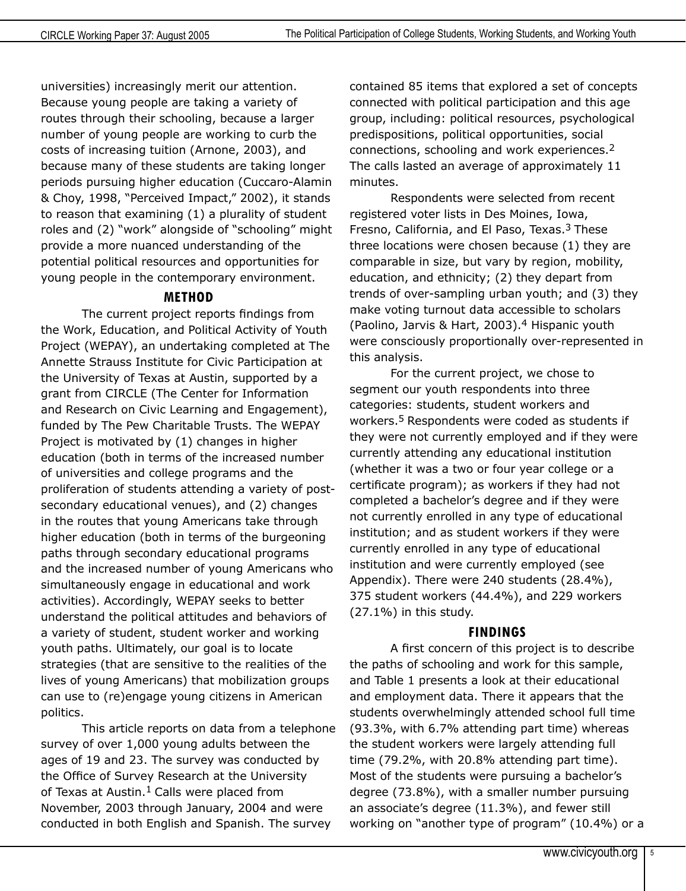universities) increasingly merit our attention. Because young people are taking a variety of routes through their schooling, because a larger number of young people are working to curb the costs of increasing tuition (Arnone, 2003), and because many of these students are taking longer periods pursuing higher education (Cuccaro-Alamin & Choy, 1998, "Perceived Impact," 2002), it stands to reason that examining (1) a plurality of student roles and (2) "work" alongside of "schooling" might provide a more nuanced understanding of the potential political resources and opportunities for young people in the contemporary environment.

# **METHOD**

The current project reports findings from the Work, Education, and Political Activity of Youth Project (WEPAY), an undertaking completed at The Annette Strauss Institute for Civic Participation at the University of Texas at Austin, supported by a grant from CIRCLE (The Center for Information and Research on Civic Learning and Engagement), funded by The Pew Charitable Trusts. The WEPAY Project is motivated by (1) changes in higher education (both in terms of the increased number of universities and college programs and the proliferation of students attending a variety of postsecondary educational venues), and (2) changes in the routes that young Americans take through higher education (both in terms of the burgeoning paths through secondary educational programs and the increased number of young Americans who simultaneously engage in educational and work activities). Accordingly, WEPAY seeks to better understand the political attitudes and behaviors of a variety of student, student worker and working youth paths. Ultimately, our goal is to locate strategies (that are sensitive to the realities of the lives of young Americans) that mobilization groups can use to (re)engage young citizens in American politics.

This article reports on data from a telephone survey of over 1,000 young adults between the ages of 19 and 23. The survey was conducted by the Office of Survey Research at the University of Texas at Austin.<sup>1</sup> Calls were placed from November, 2003 through January, 2004 and were conducted in both English and Spanish. The survey

contained 85 items that explored a set of concepts connected with political participation and this age group, including: political resources, psychological predispositions, political opportunities, social connections, schooling and work experiences.2 The calls lasted an average of approximately 11 minutes.

Respondents were selected from recent registered voter lists in Des Moines, Iowa, Fresno, California, and El Paso, Texas.<sup>3</sup> These three locations were chosen because (1) they are comparable in size, but vary by region, mobility, education, and ethnicity; (2) they depart from trends of over-sampling urban youth; and (3) they make voting turnout data accessible to scholars (Paolino, Jarvis & Hart, 2003).4 Hispanic youth were consciously proportionally over-represented in this analysis.

For the current project, we chose to segment our youth respondents into three categories: students, student workers and workers.<sup>5</sup> Respondents were coded as students if they were not currently employed and if they were currently attending any educational institution (whether it was a two or four year college or a certificate program); as workers if they had not completed a bachelor's degree and if they were not currently enrolled in any type of educational institution; and as student workers if they were currently enrolled in any type of educational institution and were currently employed (see Appendix). There were 240 students (28.4%), 375 student workers (44.4%), and 229 workers (27.1%) in this study.

#### **FINDINGS**

A first concern of this project is to describe the paths of schooling and work for this sample, and Table 1 presents a look at their educational and employment data. There it appears that the students overwhelmingly attended school full time (93.3%, with 6.7% attending part time) whereas the student workers were largely attending full time (79.2%, with 20.8% attending part time). Most of the students were pursuing a bachelor's degree (73.8%), with a smaller number pursuing an associate's degree (11.3%), and fewer still working on "another type of program" (10.4%) or a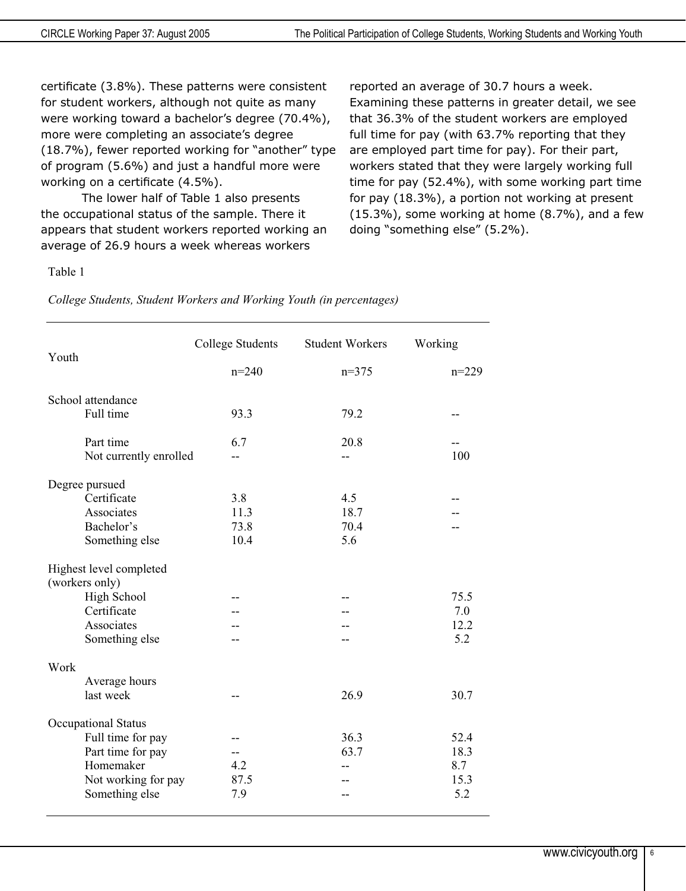certificate (3.8%). These patterns were consistent for student workers, although not quite as many were working toward a bachelor's degree (70.4%), more were completing an associate's degree (18.7%), fewer reported working for "another" type of program (5.6%) and just a handful more were working on a certificate (4.5%).

The lower half of Table 1 also presents the occupational status of the sample. There it appears that student workers reported working an average of 26.9 hours a week whereas workers

reported an average of 30.7 hours a week. Examining these patterns in greater detail, we see that 36.3% of the student workers are employed full time for pay (with 63.7% reporting that they are employed part time for pay). For their part, workers stated that they were largely working full time for pay (52.4%), with some working part time for pay (18.3%), a portion not working at present (15.3%), some working at home (8.7%), and a few doing "something else" (5.2%).

#### Table 1

*College Students, Student Workers and Working Youth (in percentages)* 

| Youth |                                        | <b>College Students</b> | <b>Student Workers</b> | Working |
|-------|----------------------------------------|-------------------------|------------------------|---------|
|       |                                        | $n=240$                 | $n=375$                | $n=229$ |
|       | School attendance                      |                         |                        |         |
|       | Full time                              | 93.3                    | 79.2                   | --      |
|       | Part time                              | 6.7                     | 20.8                   |         |
|       | Not currently enrolled                 |                         | --                     | 100     |
|       | Degree pursued                         |                         |                        |         |
|       | Certificate                            | 3.8                     | 4.5                    |         |
|       | Associates                             | 11.3                    | 18.7                   |         |
|       | Bachelor's                             | 73.8                    | 70.4                   |         |
|       | Something else                         | 10.4                    | 5.6                    |         |
|       | Highest level completed                |                         |                        |         |
|       | (workers only)                         |                         |                        |         |
|       | High School                            |                         |                        | 75.5    |
|       | Certificate                            |                         |                        | 7.0     |
|       | Associates                             |                         |                        | 12.2    |
|       | Something else                         |                         |                        | 5.2     |
| Work  |                                        |                         |                        |         |
|       | Average hours                          |                         |                        |         |
|       | last week                              |                         | 26.9                   | 30.7    |
|       |                                        |                         |                        |         |
|       | Occupational Status                    |                         | 36.3                   | 52.4    |
|       | Full time for pay<br>Part time for pay |                         | 63.7                   | 18.3    |
|       | Homemaker                              | 4.2                     |                        | 8.7     |
|       |                                        | 87.5                    | $-$                    | 15.3    |
|       | Not working for pay                    | 7.9                     |                        | 5.2     |
|       | Something else                         |                         |                        |         |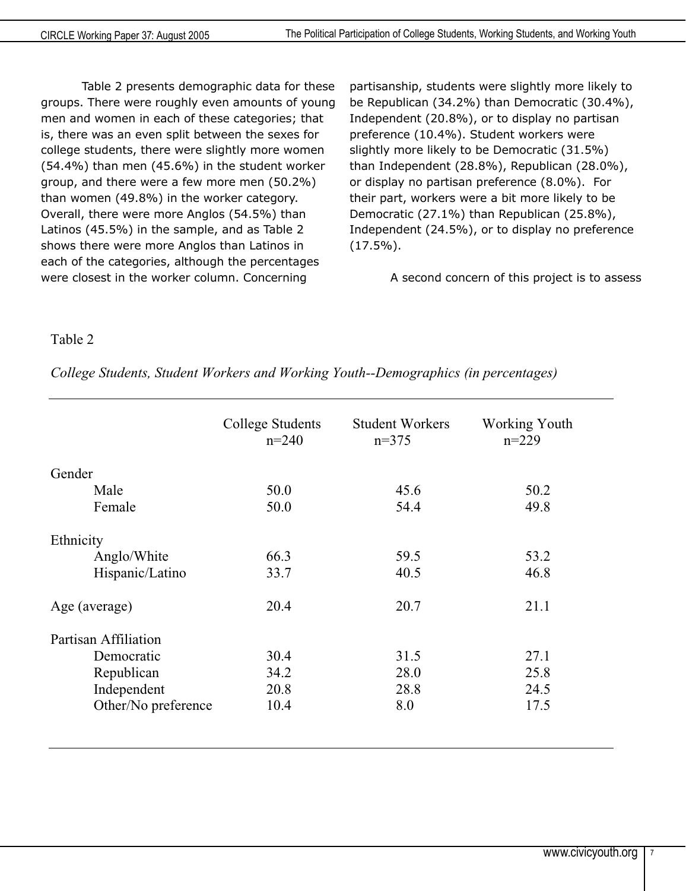Table 2 presents demographic data for these groups. There were roughly even amounts of young men and women in each of these categories; that is, there was an even split between the sexes for college students, there were slightly more women (54.4%) than men (45.6%) in the student worker group, and there were a few more men (50.2%) than women (49.8%) in the worker category. Overall, there were more Anglos (54.5%) than Latinos (45.5%) in the sample, and as Table 2 shows there were more Anglos than Latinos in each of the categories, although the percentages were closest in the worker column. Concerning

partisanship, students were slightly more likely to be Republican (34.2%) than Democratic (30.4%), Independent (20.8%), or to display no partisan preference (10.4%). Student workers were slightly more likely to be Democratic (31.5%) than Independent (28.8%), Republican (28.0%), or display no partisan preference (8.0%). For their part, workers were a bit more likely to be Democratic (27.1%) than Republican (25.8%), Independent (24.5%), or to display no preference  $(17.5\%)$ .

A second concern of this project is to assess

#### Table 2

|                      | <b>College Students</b><br>$n=240$ | <b>Student Workers</b><br>$n=375$ | <b>Working Youth</b><br>$n=229$ |
|----------------------|------------------------------------|-----------------------------------|---------------------------------|
| Gender               |                                    |                                   |                                 |
| Male                 | 50.0                               | 45.6                              | 50.2                            |
| Female               | 50.0                               | 54.4                              | 49.8                            |
| Ethnicity            |                                    |                                   |                                 |
| Anglo/White          | 66.3                               | 59.5                              | 53.2                            |
| Hispanic/Latino      | 33.7                               | 40.5                              | 46.8                            |
| Age (average)        | 20.4                               | 20.7                              | 21.1                            |
| Partisan Affiliation |                                    |                                   |                                 |
| Democratic           | 30.4                               | 31.5                              | 27.1                            |
| Republican           | 34.2                               | 28.0                              | 25.8                            |
| Independent          | 20.8                               | 28.8                              | 24.5                            |
| Other/No preference  | 10.4                               | 8.0                               | 17.5                            |

*College Students, Student Workers and Working Youth--Demographics (in percentages)*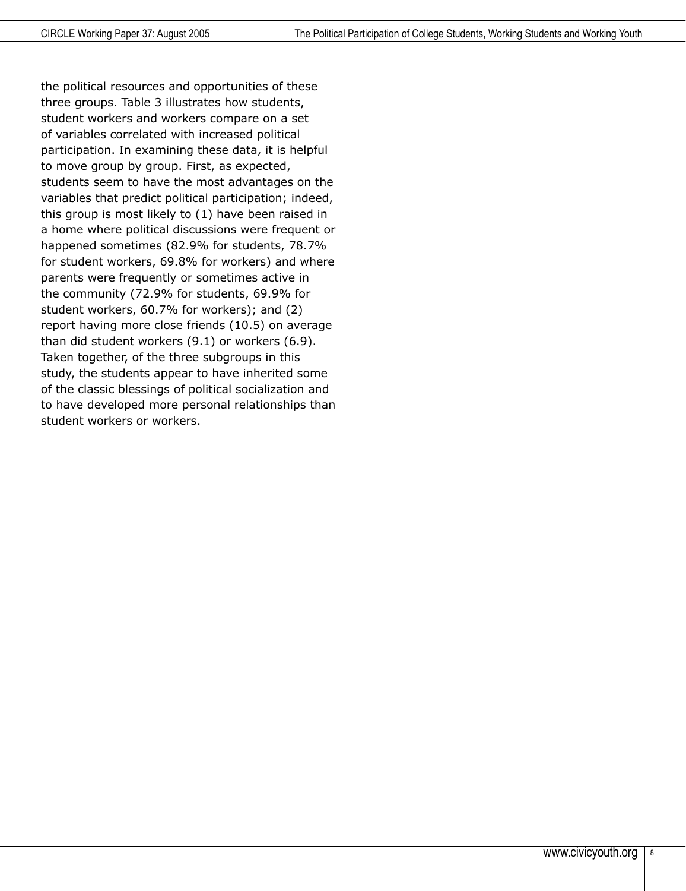the political resources and opportunities of these three groups. Table 3 illustrates how students, student workers and workers compare on a set of variables correlated with increased political participation. In examining these data, it is helpful to move group by group. First, as expected, students seem to have the most advantages on the variables that predict political participation; indeed, this group is most likely to (1) have been raised in a home where political discussions were frequent or happened sometimes (82.9% for students, 78.7% for student workers, 69.8% for workers) and where parents were frequently or sometimes active in the community (72.9% for students, 69.9% for student workers, 60.7% for workers); and (2) report having more close friends (10.5) on average than did student workers (9.1) or workers (6.9). Taken together, of the three subgroups in this study, the students appear to have inherited some of the classic blessings of political socialization and to have developed more personal relationships than student workers or workers.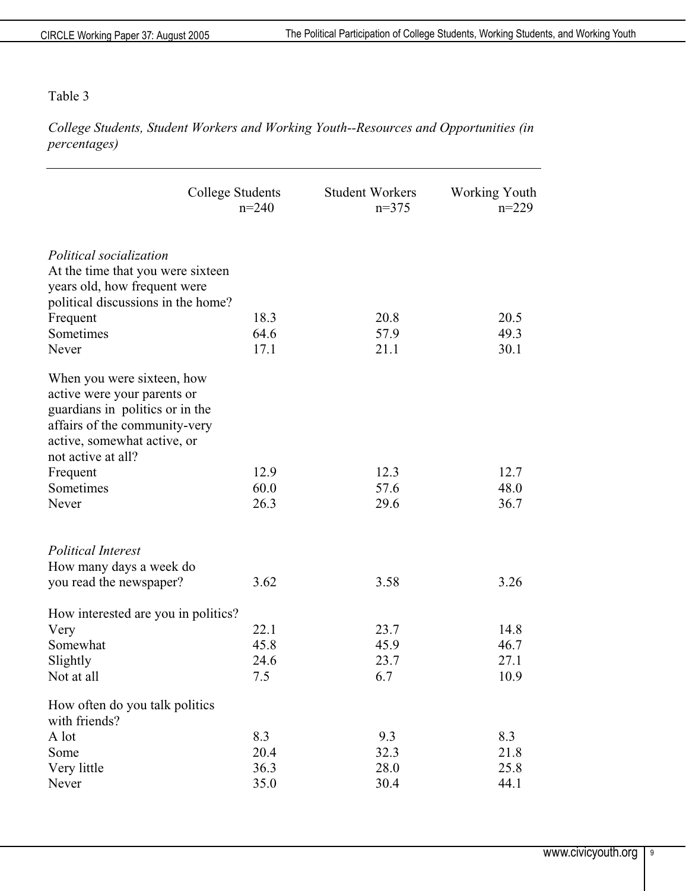#### Table 3

*College Students, Student Workers and Working Youth--Resources and Opportunities (in percentages)* 

|                                                                                                                                                                                    | College Students<br>$n=240$ | <b>Student Workers</b><br>$n=375$ | Working Youth<br>$n=229$ |
|------------------------------------------------------------------------------------------------------------------------------------------------------------------------------------|-----------------------------|-----------------------------------|--------------------------|
| Political socialization<br>At the time that you were sixteen<br>years old, how frequent were<br>political discussions in the home?<br>Frequent<br>Sometimes<br>Never               | 18.3<br>64.6<br>17.1        | 20.8<br>57.9<br>21.1              | 20.5<br>49.3<br>30.1     |
| When you were sixteen, how<br>active were your parents or<br>guardians in politics or in the<br>affairs of the community-very<br>active, somewhat active, or<br>not active at all? |                             |                                   |                          |
| Frequent                                                                                                                                                                           | 12.9                        | 12.3                              | 12.7                     |
| Sometimes                                                                                                                                                                          | 60.0                        | 57.6                              | 48.0                     |
| Never                                                                                                                                                                              | 26.3                        | 29.6                              | 36.7                     |
| <b>Political Interest</b><br>How many days a week do<br>you read the newspaper?                                                                                                    | 3.62                        | 3.58                              | 3.26                     |
|                                                                                                                                                                                    |                             |                                   |                          |
| How interested are you in politics?                                                                                                                                                | 22.1                        | 23.7                              | 14.8                     |
| Very<br>Somewhat                                                                                                                                                                   | 45.8                        | 45.9                              | 46.7                     |
| Slightly                                                                                                                                                                           | 24.6                        | 23.7                              | 27.1                     |
| Not at all                                                                                                                                                                         | 7.5                         | 6.7                               | 10.9                     |
|                                                                                                                                                                                    |                             |                                   |                          |
| How often do you talk politics<br>with friends?                                                                                                                                    |                             |                                   |                          |
| A lot                                                                                                                                                                              | 8.3                         | 9.3                               | 8.3                      |
| Some                                                                                                                                                                               | 20.4                        | 32.3                              | 21.8                     |
| Very little                                                                                                                                                                        | 36.3                        | 28.0                              | 25.8                     |
| Never                                                                                                                                                                              | 35.0                        | 30.4                              | 44.1                     |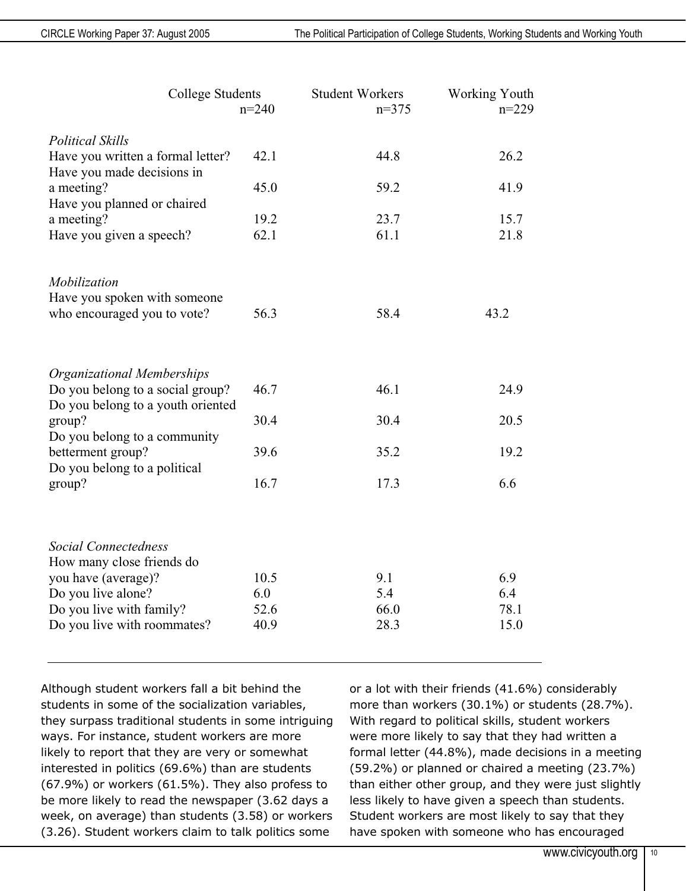| <b>College Students</b>                                               |             | <b>Student Workers</b> | Working Youth |
|-----------------------------------------------------------------------|-------------|------------------------|---------------|
|                                                                       | $n=240$     | $n=375$                | $n=229$       |
| <b>Political Skills</b>                                               |             |                        |               |
| Have you written a formal letter?<br>Have you made decisions in       | 42.1        | 44.8                   | 26.2          |
| a meeting?<br>Have you planned or chaired                             | 45.0        | 59.2                   | 41.9          |
| a meeting?                                                            | 19.2        | 23.7                   | 15.7          |
| Have you given a speech?                                              | 62.1        | 61.1                   | 21.8          |
| Mobilization<br>Have you spoken with someone                          |             |                        |               |
| who encouraged you to vote?                                           | 56.3        | 58.4                   | 43.2          |
| <b>Organizational Memberships</b>                                     |             |                        |               |
| Do you belong to a social group?<br>Do you belong to a youth oriented | 46.7        | 46.1                   | 24.9          |
| group?<br>Do you belong to a community                                | 30.4        | 30.4                   | 20.5          |
| betterment group?<br>Do you belong to a political                     | 39.6        | 35.2                   | 19.2          |
| group?                                                                | 16.7        | 17.3                   | 6.6           |
|                                                                       |             |                        |               |
| <b>Social Connectedness</b><br>How many close friends do              |             |                        |               |
| you have (average)?                                                   | 10.5        | 9.1                    | 6.9           |
| Do you live alone?<br>Do you live with family?                        | 6.0<br>52.6 | 5.4<br>66.0            | 6.4<br>78.1   |
| Do you live with roommates?                                           | 40.9        | 28.3                   | 15.0          |

Although student workers fall a bit behind the students in some of the socialization variables, they surpass traditional students in some intriguing ways. For instance, student workers are more likely to report that they are very or somewhat interested in politics (69.6%) than are students (67.9%) or workers (61.5%). They also profess to be more likely to read the newspaper (3.62 days a week, on average) than students (3.58) or workers (3.26). Student workers claim to talk politics some

or a lot with their friends (41.6%) considerably more than workers (30.1%) or students (28.7%). With regard to political skills, student workers were more likely to say that they had written a formal letter (44.8%), made decisions in a meeting (59.2%) or planned or chaired a meeting (23.7%) than either other group, and they were just slightly less likely to have given a speech than students. Student workers are most likely to say that they have spoken with someone who has encouraged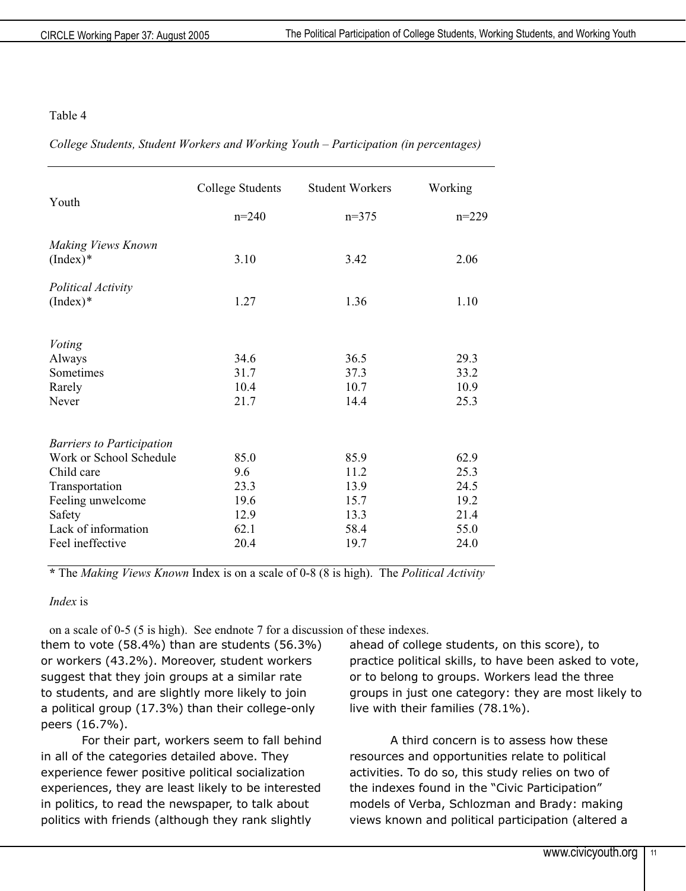#### Table 4

*College Students, Student Workers and Working Youth – Participation (in percentages)* 

|                                  | College Students | <b>Student Workers</b> | Working |
|----------------------------------|------------------|------------------------|---------|
| Youth                            | $n=240$          | $n=375$                | $n=229$ |
| Making Views Known<br>$(Index)*$ | 3.10             | 3.42                   | 2.06    |
| Political Activity<br>$(Index)*$ | 1.27             | 1.36                   | 1.10    |
| <b>Voting</b>                    |                  |                        |         |
| Always                           | 34.6             | 36.5                   | 29.3    |
| Sometimes                        | 31.7             | 37.3                   | 33.2    |
| Rarely                           | 10.4             | 10.7                   | 10.9    |
| Never                            | 21.7             | 14.4                   | 25.3    |
| <b>Barriers to Participation</b> |                  |                        |         |
| Work or School Schedule          | 85.0             | 85.9                   | 62.9    |
| Child care                       | 9.6              | 11.2                   | 25.3    |
| Transportation                   | 23.3             | 13.9                   | 24.5    |
| Feeling unwelcome                | 19.6             | 15.7                   | 19.2    |
| Safety                           | 12.9             | 13.3                   | 21.4    |
| Lack of information              | 62.1             | 58.4                   | 55.0    |
| Feel ineffective                 | 20.4             | 19.7                   | 24.0    |

**\*** The *Making Views Known* Index is on a scale of 0-8 (8 is high). The *Political Activity* 

*Index* is

on a scale of 0-5 (5 is high). See endnote 7 for a discussion of these indexes.

them to vote (58.4%) than are students (56.3%) or workers (43.2%). Moreover, student workers suggest that they join groups at a similar rate to students, and are slightly more likely to join a political group (17.3%) than their college-only peers (16.7%).

For their part, workers seem to fall behind in all of the categories detailed above. They experience fewer positive political socialization experiences, they are least likely to be interested in politics, to read the newspaper, to talk about politics with friends (although they rank slightly

ahead of college students, on this score), to practice political skills, to have been asked to vote, or to belong to groups. Workers lead the three groups in just one category: they are most likely to live with their families (78.1%).

A third concern is to assess how these resources and opportunities relate to political activities. To do so, this study relies on two of the indexes found in the "Civic Participation" models of Verba, Schlozman and Brady: making views known and political participation (altered a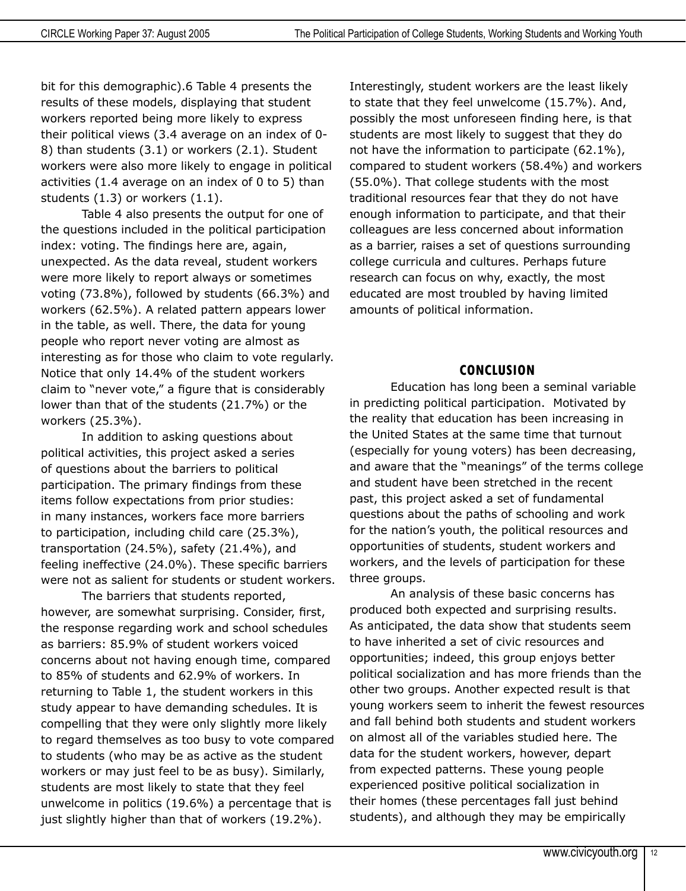bit for this demographic).6 Table 4 presents the results of these models, displaying that student workers reported being more likely to express their political views (3.4 average on an index of 0- 8) than students (3.1) or workers (2.1). Student workers were also more likely to engage in political activities (1.4 average on an index of 0 to 5) than students (1.3) or workers (1.1).

Table 4 also presents the output for one of the questions included in the political participation index: voting. The findings here are, again, unexpected. As the data reveal, student workers were more likely to report always or sometimes voting (73.8%), followed by students (66.3%) and workers (62.5%). A related pattern appears lower in the table, as well. There, the data for young people who report never voting are almost as interesting as for those who claim to vote regularly. Notice that only 14.4% of the student workers claim to "never vote," a figure that is considerably lower than that of the students (21.7%) or the workers (25.3%).

In addition to asking questions about political activities, this project asked a series of questions about the barriers to political participation. The primary findings from these items follow expectations from prior studies: in many instances, workers face more barriers to participation, including child care (25.3%), transportation (24.5%), safety (21.4%), and feeling ineffective (24.0%). These specific barriers were not as salient for students or student workers.

The barriers that students reported, however, are somewhat surprising. Consider, first, the response regarding work and school schedules as barriers: 85.9% of student workers voiced concerns about not having enough time, compared to 85% of students and 62.9% of workers. In returning to Table 1, the student workers in this study appear to have demanding schedules. It is compelling that they were only slightly more likely to regard themselves as too busy to vote compared to students (who may be as active as the student workers or may just feel to be as busy). Similarly, students are most likely to state that they feel unwelcome in politics (19.6%) a percentage that is just slightly higher than that of workers (19.2%).

Interestingly, student workers are the least likely to state that they feel unwelcome (15.7%). And, possibly the most unforeseen finding here, is that students are most likely to suggest that they do not have the information to participate (62.1%), compared to student workers (58.4%) and workers (55.0%). That college students with the most traditional resources fear that they do not have enough information to participate, and that their colleagues are less concerned about information as a barrier, raises a set of questions surrounding college curricula and cultures. Perhaps future research can focus on why, exactly, the most educated are most troubled by having limited amounts of political information.

#### **CONCLUSION**

Education has long been a seminal variable in predicting political participation. Motivated by the reality that education has been increasing in the United States at the same time that turnout (especially for young voters) has been decreasing, and aware that the "meanings" of the terms college and student have been stretched in the recent past, this project asked a set of fundamental questions about the paths of schooling and work for the nation's youth, the political resources and opportunities of students, student workers and workers, and the levels of participation for these three groups.

An analysis of these basic concerns has produced both expected and surprising results. As anticipated, the data show that students seem to have inherited a set of civic resources and opportunities; indeed, this group enjoys better political socialization and has more friends than the other two groups. Another expected result is that young workers seem to inherit the fewest resources and fall behind both students and student workers on almost all of the variables studied here. The data for the student workers, however, depart from expected patterns. These young people experienced positive political socialization in their homes (these percentages fall just behind students), and although they may be empirically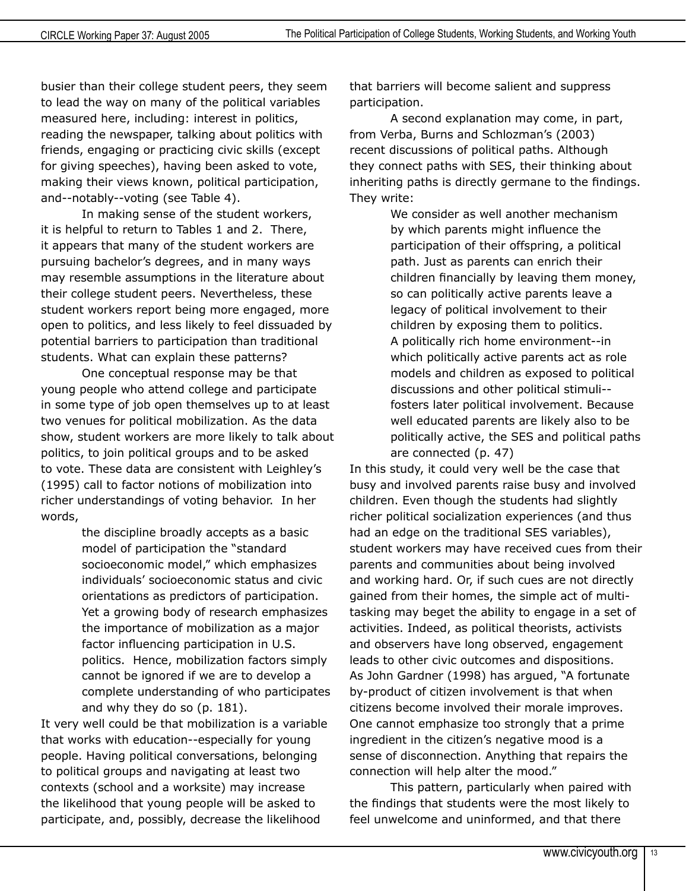busier than their college student peers, they seem to lead the way on many of the political variables measured here, including: interest in politics, reading the newspaper, talking about politics with friends, engaging or practicing civic skills (except for giving speeches), having been asked to vote, making their views known, political participation, and--notably--voting (see Table 4).

In making sense of the student workers, it is helpful to return to Tables 1 and 2. There, it appears that many of the student workers are pursuing bachelor's degrees, and in many ways may resemble assumptions in the literature about their college student peers. Nevertheless, these student workers report being more engaged, more open to politics, and less likely to feel dissuaded by potential barriers to participation than traditional students. What can explain these patterns?

One conceptual response may be that young people who attend college and participate in some type of job open themselves up to at least two venues for political mobilization. As the data show, student workers are more likely to talk about politics, to join political groups and to be asked to vote. These data are consistent with Leighley's (1995) call to factor notions of mobilization into richer understandings of voting behavior. In her words,

> the discipline broadly accepts as a basic model of participation the "standard socioeconomic model," which emphasizes individuals' socioeconomic status and civic orientations as predictors of participation. Yet a growing body of research emphasizes the importance of mobilization as a major factor influencing participation in U.S. politics. Hence, mobilization factors simply cannot be ignored if we are to develop a complete understanding of who participates and why they do so (p. 181).

It very well could be that mobilization is a variable that works with education--especially for young people. Having political conversations, belonging to political groups and navigating at least two contexts (school and a worksite) may increase the likelihood that young people will be asked to participate, and, possibly, decrease the likelihood

that barriers will become salient and suppress participation.

A second explanation may come, in part, from Verba, Burns and Schlozman's (2003) recent discussions of political paths. Although they connect paths with SES, their thinking about inheriting paths is directly germane to the findings. They write:

> We consider as well another mechanism by which parents might influence the participation of their offspring, a political path. Just as parents can enrich their children financially by leaving them money, so can politically active parents leave a legacy of political involvement to their children by exposing them to politics. A politically rich home environment--in which politically active parents act as role models and children as exposed to political discussions and other political stimuli- fosters later political involvement. Because well educated parents are likely also to be politically active, the SES and political paths are connected (p. 47)

In this study, it could very well be the case that busy and involved parents raise busy and involved children. Even though the students had slightly richer political socialization experiences (and thus had an edge on the traditional SES variables), student workers may have received cues from their parents and communities about being involved and working hard. Or, if such cues are not directly gained from their homes, the simple act of multitasking may beget the ability to engage in a set of activities. Indeed, as political theorists, activists and observers have long observed, engagement leads to other civic outcomes and dispositions. As John Gardner (1998) has argued, "A fortunate by-product of citizen involvement is that when citizens become involved their morale improves. One cannot emphasize too strongly that a prime ingredient in the citizen's negative mood is a sense of disconnection. Anything that repairs the connection will help alter the mood."

This pattern, particularly when paired with the findings that students were the most likely to feel unwelcome and uninformed, and that there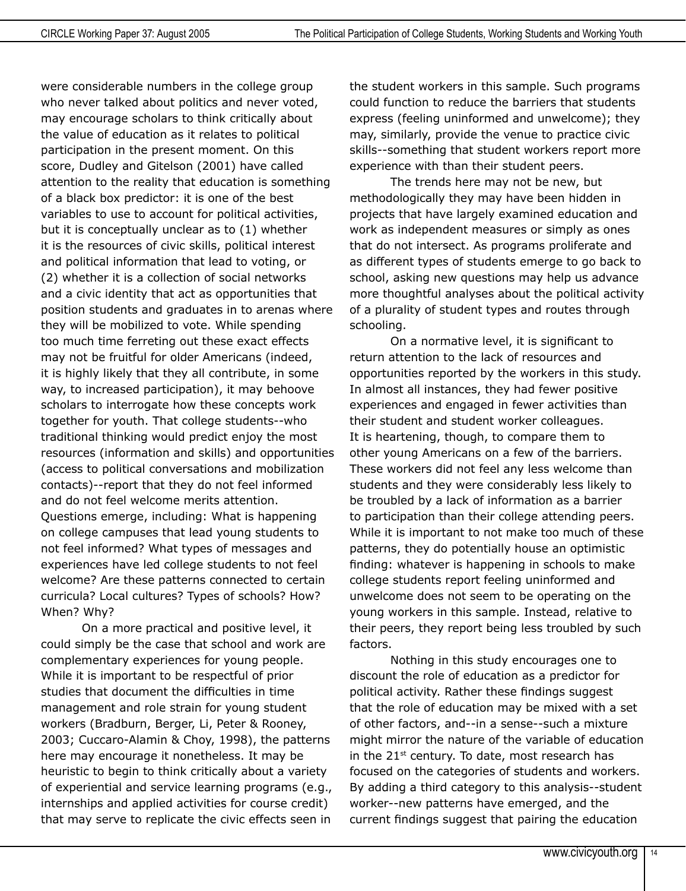were considerable numbers in the college group who never talked about politics and never voted, may encourage scholars to think critically about the value of education as it relates to political participation in the present moment. On this score, Dudley and Gitelson (2001) have called attention to the reality that education is something of a black box predictor: it is one of the best variables to use to account for political activities, but it is conceptually unclear as to (1) whether it is the resources of civic skills, political interest and political information that lead to voting, or (2) whether it is a collection of social networks and a civic identity that act as opportunities that position students and graduates in to arenas where they will be mobilized to vote. While spending too much time ferreting out these exact effects may not be fruitful for older Americans (indeed, it is highly likely that they all contribute, in some way, to increased participation), it may behoove scholars to interrogate how these concepts work together for youth. That college students--who traditional thinking would predict enjoy the most resources (information and skills) and opportunities (access to political conversations and mobilization contacts)--report that they do not feel informed and do not feel welcome merits attention. Questions emerge, including: What is happening on college campuses that lead young students to not feel informed? What types of messages and experiences have led college students to not feel welcome? Are these patterns connected to certain curricula? Local cultures? Types of schools? How? When? Why?

On a more practical and positive level, it could simply be the case that school and work are complementary experiences for young people. While it is important to be respectful of prior studies that document the difficulties in time management and role strain for young student workers (Bradburn, Berger, Li, Peter & Rooney, 2003; Cuccaro-Alamin & Choy, 1998), the patterns here may encourage it nonetheless. It may be heuristic to begin to think critically about a variety of experiential and service learning programs (e.g., internships and applied activities for course credit) that may serve to replicate the civic effects seen in

the student workers in this sample. Such programs could function to reduce the barriers that students express (feeling uninformed and unwelcome); they may, similarly, provide the venue to practice civic skills--something that student workers report more experience with than their student peers.

The trends here may not be new, but methodologically they may have been hidden in projects that have largely examined education and work as independent measures or simply as ones that do not intersect. As programs proliferate and as different types of students emerge to go back to school, asking new questions may help us advance more thoughtful analyses about the political activity of a plurality of student types and routes through schooling.

On a normative level, it is significant to return attention to the lack of resources and opportunities reported by the workers in this study. In almost all instances, they had fewer positive experiences and engaged in fewer activities than their student and student worker colleagues. It is heartening, though, to compare them to other young Americans on a few of the barriers. These workers did not feel any less welcome than students and they were considerably less likely to be troubled by a lack of information as a barrier to participation than their college attending peers. While it is important to not make too much of these patterns, they do potentially house an optimistic finding: whatever is happening in schools to make college students report feeling uninformed and unwelcome does not seem to be operating on the young workers in this sample. Instead, relative to their peers, they report being less troubled by such factors.

Nothing in this study encourages one to discount the role of education as a predictor for political activity. Rather these findings suggest that the role of education may be mixed with a set of other factors, and--in a sense--such a mixture might mirror the nature of the variable of education in the  $21<sup>st</sup>$  century. To date, most research has focused on the categories of students and workers. By adding a third category to this analysis--student worker--new patterns have emerged, and the current findings suggest that pairing the education

14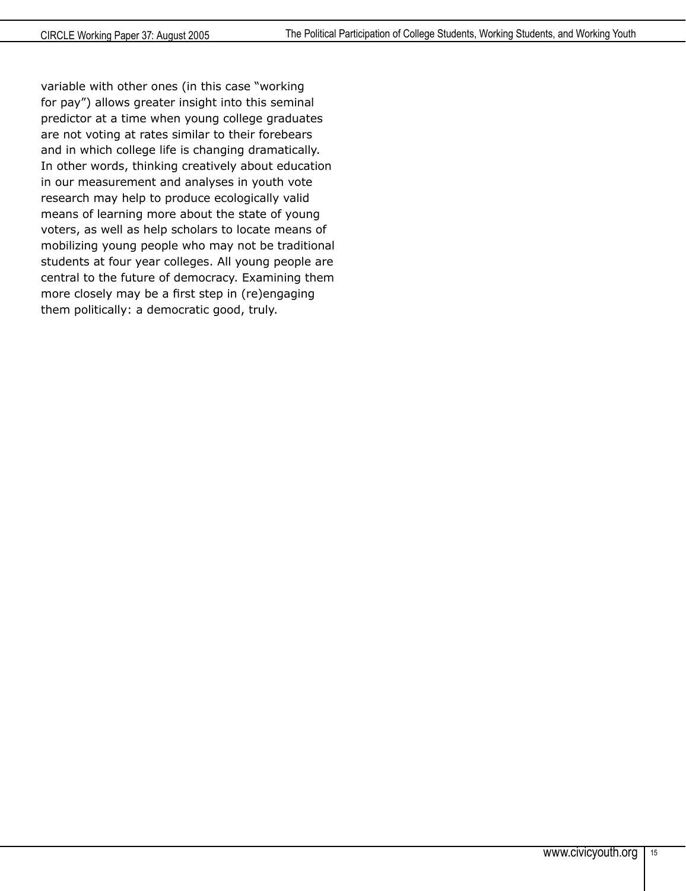variable with other ones (in this case "working for pay") allows greater insight into this seminal predictor at a time when young college graduates are not voting at rates similar to their forebears and in which college life is changing dramatically. In other words, thinking creatively about education in our measurement and analyses in youth vote research may help to produce ecologically valid means of learning more about the state of young voters, as well as help scholars to locate means of mobilizing young people who may not be traditional students at four year colleges. All young people are central to the future of democracy. Examining them more closely may be a first step in (re)engaging them politically: a democratic good, truly.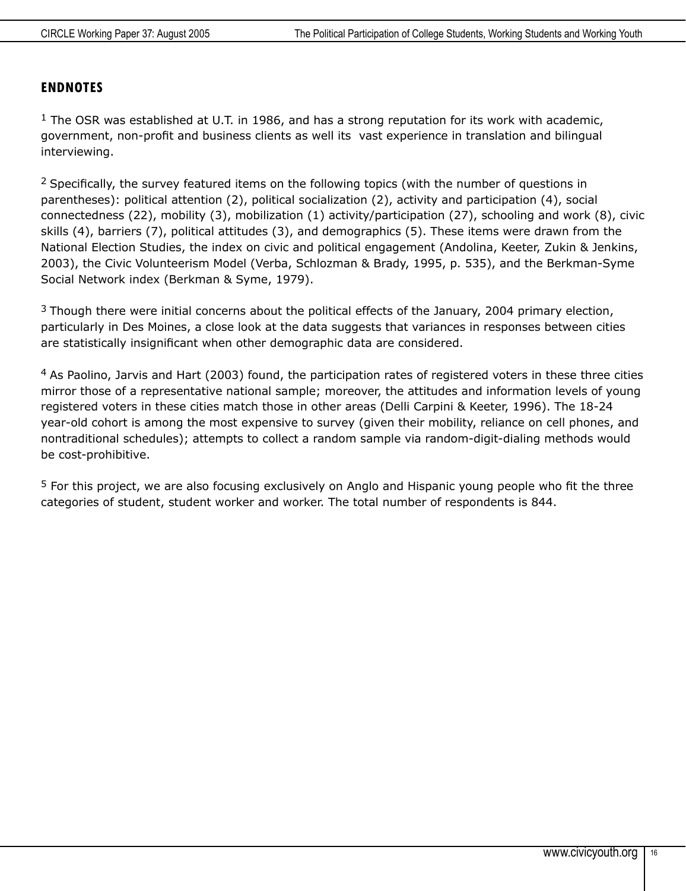#### **ENDNOTES**

 $1$  The OSR was established at U.T. in 1986, and has a strong reputation for its work with academic, government, non-profit and business clients as well its vast experience in translation and bilingual interviewing.

<sup>2</sup> Specifically, the survey featured items on the following topics (with the number of questions in parentheses): political attention (2), political socialization (2), activity and participation (4), social connectedness (22), mobility (3), mobilization (1) activity/participation (27), schooling and work (8), civic skills (4), barriers (7), political attitudes (3), and demographics (5). These items were drawn from the National Election Studies, the index on civic and political engagement (Andolina, Keeter, Zukin & Jenkins, 2003), the Civic Volunteerism Model (Verba, Schlozman & Brady, 1995, p. 535), and the Berkman-Syme Social Network index (Berkman & Syme, 1979).

 $3$  Though there were initial concerns about the political effects of the January, 2004 primary election, particularly in Des Moines, a close look at the data suggests that variances in responses between cities are statistically insignificant when other demographic data are considered.

 $4$  As Paolino, Jarvis and Hart (2003) found, the participation rates of registered voters in these three cities mirror those of a representative national sample; moreover, the attitudes and information levels of young registered voters in these cities match those in other areas (Delli Carpini & Keeter, 1996). The 18-24 year-old cohort is among the most expensive to survey (given their mobility, reliance on cell phones, and nontraditional schedules); attempts to collect a random sample via random-digit-dialing methods would be cost-prohibitive.

<sup>5</sup> For this project, we are also focusing exclusively on Anglo and Hispanic young people who fit the three categories of student, student worker and worker. The total number of respondents is 844.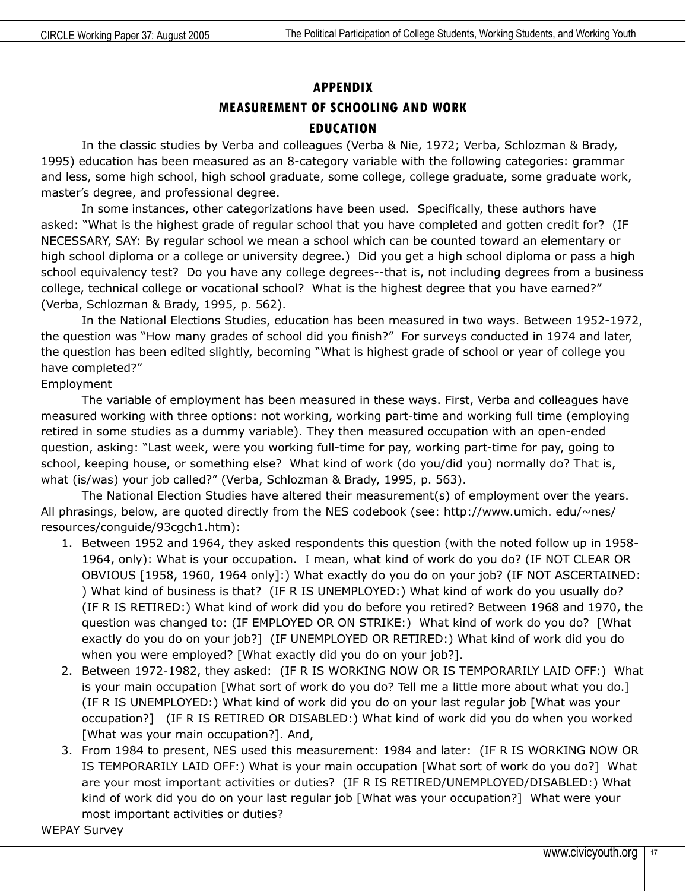# **APPENDIX MEASUREMENT OF SCHOOLING AND WORK EDUCATION**

In the classic studies by Verba and colleagues (Verba & Nie, 1972; Verba, Schlozman & Brady, 1995) education has been measured as an 8-category variable with the following categories: grammar and less, some high school, high school graduate, some college, college graduate, some graduate work, master's degree, and professional degree.

In some instances, other categorizations have been used. Specifically, these authors have asked: "What is the highest grade of regular school that you have completed and gotten credit for? (IF NECESSARY, SAY: By regular school we mean a school which can be counted toward an elementary or high school diploma or a college or university degree.) Did you get a high school diploma or pass a high school equivalency test? Do you have any college degrees--that is, not including degrees from a business college, technical college or vocational school? What is the highest degree that you have earned?" (Verba, Schlozman & Brady, 1995, p. 562).

In the National Elections Studies, education has been measured in two ways. Between 1952-1972, the question was "How many grades of school did you finish?" For surveys conducted in 1974 and later, the question has been edited slightly, becoming "What is highest grade of school or year of college you have completed?"

#### Employment

The variable of employment has been measured in these ways. First, Verba and colleagues have measured working with three options: not working, working part-time and working full time (employing retired in some studies as a dummy variable). They then measured occupation with an open-ended question, asking: "Last week, were you working full-time for pay, working part-time for pay, going to school, keeping house, or something else? What kind of work (do you/did you) normally do? That is, what (is/was) your job called?" (Verba, Schlozman & Brady, 1995, p. 563).

The National Election Studies have altered their measurement(s) of employment over the years. All phrasings, below, are quoted directly from the NES codebook (see: http://www.umich. edu/~nes/ resources/conguide/93cgch1.htm):

- 1. Between 1952 and 1964, they asked respondents this question (with the noted follow up in 1958- 1964, only): What is your occupation. I mean, what kind of work do you do? (IF NOT CLEAR OR OBVIOUS [1958, 1960, 1964 only]:) What exactly do you do on your job? (IF NOT ASCERTAINED: ) What kind of business is that? (IF R IS UNEMPLOYED:) What kind of work do you usually do? (IF R IS RETIRED:) What kind of work did you do before you retired? Between 1968 and 1970, the question was changed to: (IF EMPLOYED OR ON STRIKE:) What kind of work do you do? [What exactly do you do on your job?] (IF UNEMPLOYED OR RETIRED:) What kind of work did you do when you were employed? [What exactly did you do on your job?].
- 2. Between 1972-1982, they asked: (IF R IS WORKING NOW OR IS TEMPORARILY LAID OFF:) What is your main occupation [What sort of work do you do? Tell me a little more about what you do.] (IF R IS UNEMPLOYED:) What kind of work did you do on your last regular job [What was your occupation?] (IF R IS RETIRED OR DISABLED:) What kind of work did you do when you worked [What was your main occupation?]. And,
- 3. From 1984 to present, NES used this measurement: 1984 and later: (IF R IS WORKING NOW OR IS TEMPORARILY LAID OFF:) What is your main occupation [What sort of work do you do?] What are your most important activities or duties? (IF R IS RETIRED/UNEMPLOYED/DISABLED:) What kind of work did you do on your last regular job [What was your occupation?] What were your most important activities or duties?

WEPAY Survey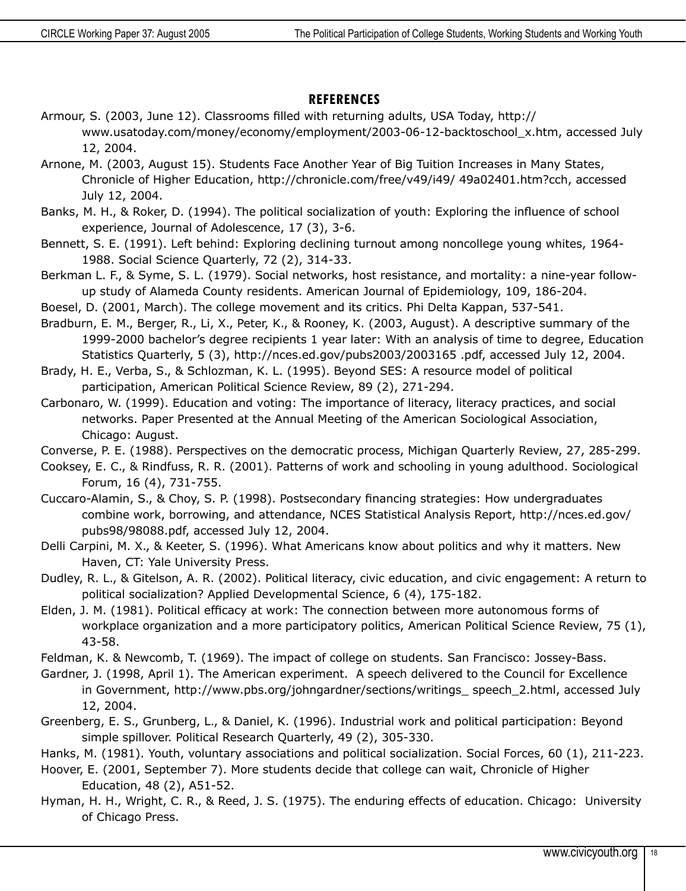#### **REFERENCES**

- Armour, S. (2003, June 12). Classrooms filled with returning adults, USA Today, http:// www.usatoday.com/money/economy/employment/2003-06-12-backtoschool\_x.htm, accessed July 12, 2004.
- Arnone, M. (2003, August 15). Students Face Another Year of Big Tuition Increases in Many States, Chronicle of Higher Education, http://chronicle.com/free/v49/i49/ 49a02401.htm?cch, accessed July 12, 2004.
- Banks, M. H., & Roker, D. (1994). The political socialization of youth: Exploring the influence of school experience, Journal of Adolescence, 17 (3), 3-6.
- Bennett, S. E. (1991). Left behind: Exploring declining turnout among noncollege young whites, 1964- 1988. Social Science Quarterly, 72 (2), 314-33.
- Berkman L. F., & Syme, S. L. (1979). Social networks, host resistance, and mortality: a nine-year followup study of Alameda County residents. American Journal of Epidemiology, 109, 186-204.
- Boesel, D. (2001, March). The college movement and its critics. Phi Delta Kappan, 537-541.
- Bradburn, E. M., Berger, R., Li, X., Peter, K., & Rooney, K. (2003, August). A descriptive summary of the 1999-2000 bachelor's degree recipients 1 year later: With an analysis of time to degree, Education Statistics Quarterly, 5 (3), http://nces.ed.gov/pubs2003/2003165 .pdf, accessed July 12, 2004.
- Brady, H. E., Verba, S., & Schlozman, K. L. (1995). Beyond SES: A resource model of political participation, American Political Science Review, 89 (2), 271-294.
- Carbonaro, W. (1999). Education and voting: The importance of literacy, literacy practices, and social networks. Paper Presented at the Annual Meeting of the American Sociological Association, Chicago: August.
- Converse, P. E. (1988). Perspectives on the democratic process, Michigan Quarterly Review, 27, 285-299.
- Cooksey, E. C., & Rindfuss, R. R. (2001). Patterns of work and schooling in young adulthood. Sociological Forum, 16 (4), 731-755.
- Cuccaro-Alamin, S., & Choy, S. P. (1998). Postsecondary financing strategies: How undergraduates combine work, borrowing, and attendance, NCES Statistical Analysis Report, http://nces.ed.gov/ pubs98/98088.pdf, accessed July 12, 2004.
- Delli Carpini, M. X., & Keeter, S. (1996). What Americans know about politics and why it matters. New Haven, CT: Yale University Press.
- Dudley, R. L., & Gitelson, A. R. (2002). Political literacy, civic education, and civic engagement: A return to political socialization? Applied Developmental Science, 6 (4), 175-182.
- Elden, J. M. (1981). Political efficacy at work: The connection between more autonomous forms of workplace organization and a more participatory politics, American Political Science Review, 75 (1), 43-58.
- Feldman, K. & Newcomb, T. (1969). The impact of college on students. San Francisco: Jossey-Bass.
- Gardner, J. (1998, April 1). The American experiment. A speech delivered to the Council for Excellence in Government, http://www.pbs.org/johngardner/sections/writings\_ speech\_2.html, accessed July 12, 2004.
- Greenberg, E. S., Grunberg, L., & Daniel, K. (1996). Industrial work and political participation: Beyond simple spillover. Political Research Quarterly, 49 (2), 305-330.
- Hanks, M. (1981). Youth, voluntary associations and political socialization. Social Forces, 60 (1), 211-223.
- Hoover, E. (2001, September 7). More students decide that college can wait, Chronicle of Higher Education, 48 (2), A51-52.
- Hyman, H. H., Wright, C. R., & Reed, J. S. (1975). The enduring effects of education. Chicago: University of Chicago Press.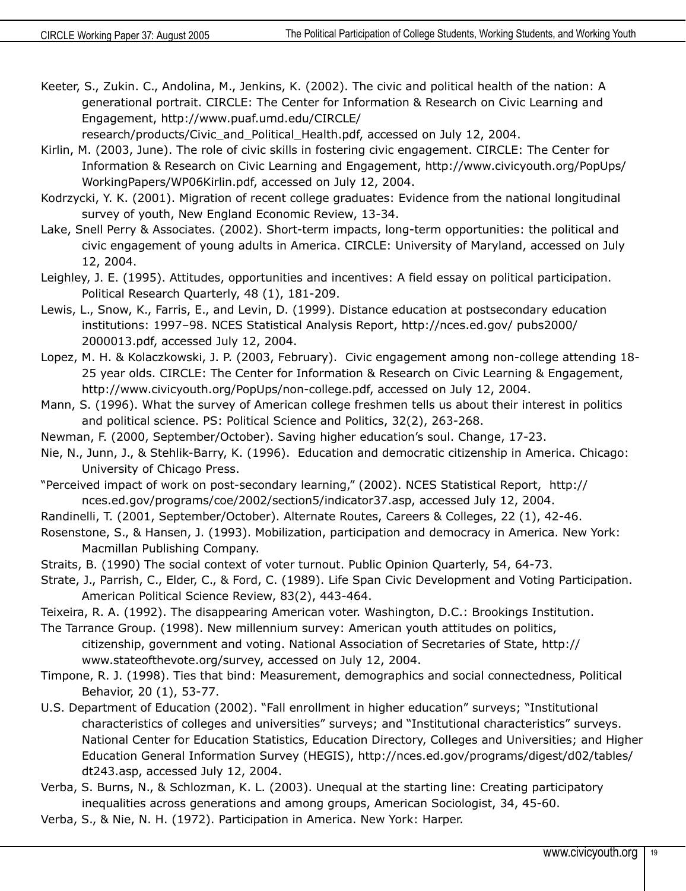Keeter, S., Zukin. C., Andolina, M., Jenkins, K. (2002). The civic and political health of the nation: A generational portrait. CIRCLE: The Center for Information & Research on Civic Learning and Engagement, http://www.puaf.umd.edu/CIRCLE/

research/products/Civic\_and\_Political\_Health.pdf, accessed on July 12, 2004.

- Kirlin, M. (2003, June). The role of civic skills in fostering civic engagement. CIRCLE: The Center for Information & Research on Civic Learning and Engagement, http://www.civicyouth.org/PopUps/ WorkingPapers/WP06Kirlin.pdf, accessed on July 12, 2004.
- Kodrzycki, Y. K. (2001). Migration of recent college graduates: Evidence from the national longitudinal survey of youth, New England Economic Review, 13-34.
- Lake, Snell Perry & Associates. (2002). Short-term impacts, long-term opportunities: the political and civic engagement of young adults in America. CIRCLE: University of Maryland, accessed on July 12, 2004.
- Leighley, J. E. (1995). Attitudes, opportunities and incentives: A field essay on political participation. Political Research Quarterly, 48 (1), 181-209.
- Lewis, L., Snow, K., Farris, E., and Levin, D. (1999). Distance education at postsecondary education institutions: 1997–98. NCES Statistical Analysis Report, http://nces.ed.gov/ pubs2000/ 2000013.pdf, accessed July 12, 2004.
- Lopez, M. H. & Kolaczkowski, J. P. (2003, February). Civic engagement among non-college attending 18- 25 year olds. CIRCLE: The Center for Information & Research on Civic Learning & Engagement, http://www.civicyouth.org/PopUps/non-college.pdf, accessed on July 12, 2004.
- Mann, S. (1996). What the survey of American college freshmen tells us about their interest in politics and political science. PS: Political Science and Politics, 32(2), 263-268.
- Newman, F. (2000, September/October). Saving higher education's soul. Change, 17-23.
- Nie, N., Junn, J., & Stehlik-Barry, K. (1996). Education and democratic citizenship in America. Chicago: University of Chicago Press.
- "Perceived impact of work on post-secondary learning," (2002). NCES Statistical Report, http:// nces.ed.gov/programs/coe/2002/section5/indicator37.asp, accessed July 12, 2004.
- Randinelli, T. (2001, September/October). Alternate Routes, Careers & Colleges, 22 (1), 42-46.
- Rosenstone, S., & Hansen, J. (1993). Mobilization, participation and democracy in America. New York: Macmillan Publishing Company.
- Straits, B. (1990) The social context of voter turnout. Public Opinion Quarterly, 54, 64-73.
- Strate, J., Parrish, C., Elder, C., & Ford, C. (1989). Life Span Civic Development and Voting Participation. American Political Science Review, 83(2), 443-464.
- Teixeira, R. A. (1992). The disappearing American voter. Washington, D.C.: Brookings Institution.
- The Tarrance Group. (1998). New millennium survey: American youth attitudes on politics, citizenship, government and voting. National Association of Secretaries of State, http:// www.stateofthevote.org/survey, accessed on July 12, 2004.
- Timpone, R. J. (1998). Ties that bind: Measurement, demographics and social connectedness, Political Behavior, 20 (1), 53-77.
- U.S. Department of Education (2002). "Fall enrollment in higher education" surveys; "Institutional characteristics of colleges and universities" surveys; and "Institutional characteristics" surveys. National Center for Education Statistics, Education Directory, Colleges and Universities; and Higher Education General Information Survey (HEGIS), http://nces.ed.gov/programs/digest/d02/tables/ dt243.asp, accessed July 12, 2004.
- Verba, S. Burns, N., & Schlozman, K. L. (2003). Unequal at the starting line: Creating participatory inequalities across generations and among groups, American Sociologist, 34, 45-60.
- Verba, S., & Nie, N. H. (1972). Participation in America. New York: Harper.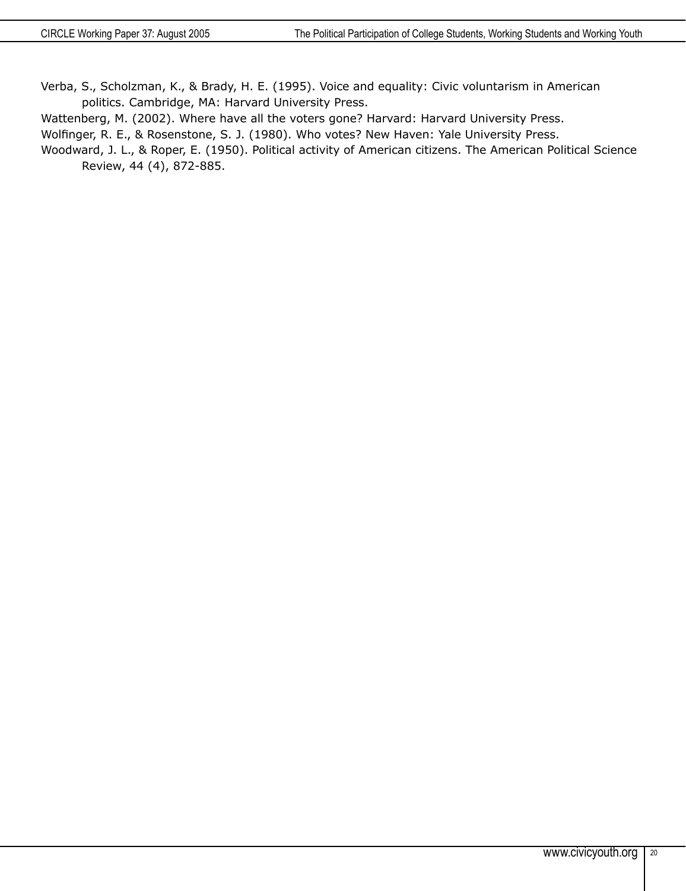Verba, S., Scholzman, K., & Brady, H. E. (1995). Voice and equality: Civic voluntarism in American politics. Cambridge, MA: Harvard University Press.

Wattenberg, M. (2002). Where have all the voters gone? Harvard: Harvard University Press.

Wolfinger, R. E., & Rosenstone, S. J. (1980). Who votes? New Haven: Yale University Press.

Woodward, J. L., & Roper, E. (1950). Political activity of American citizens. The American Political Science Review, 44 (4), 872-885.